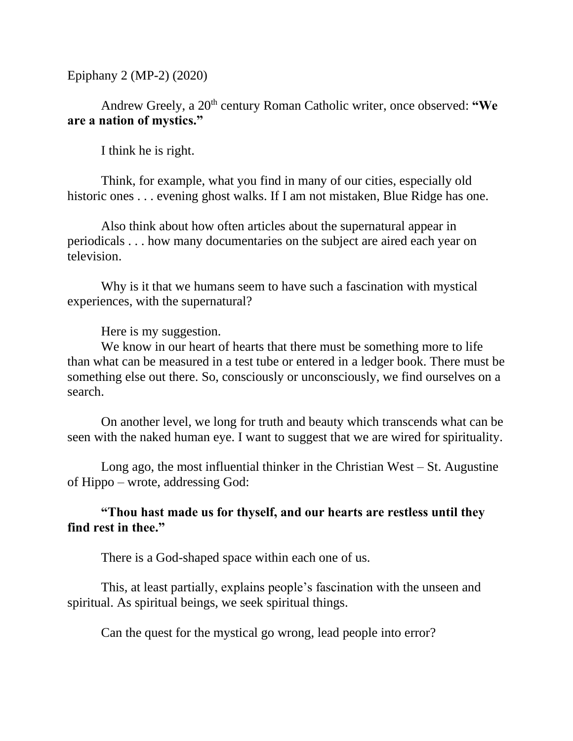Epiphany 2 (MP-2) (2020)

## Andrew Greely, a 20<sup>th</sup> century Roman Catholic writer, once observed: "We **are a nation of mystics."**

I think he is right.

Think, for example, what you find in many of our cities, especially old historic ones . . . evening ghost walks. If I am not mistaken, Blue Ridge has one.

Also think about how often articles about the supernatural appear in periodicals . . . how many documentaries on the subject are aired each year on television.

Why is it that we humans seem to have such a fascination with mystical experiences, with the supernatural?

Here is my suggestion.

We know in our heart of hearts that there must be something more to life than what can be measured in a test tube or entered in a ledger book. There must be something else out there. So, consciously or unconsciously, we find ourselves on a search.

On another level, we long for truth and beauty which transcends what can be seen with the naked human eye. I want to suggest that we are wired for spirituality.

Long ago, the most influential thinker in the Christian West – St. Augustine of Hippo – wrote, addressing God:

**"Thou hast made us for thyself, and our hearts are restless until they find rest in thee."**

There is a God-shaped space within each one of us.

This, at least partially, explains people's fascination with the unseen and spiritual. As spiritual beings, we seek spiritual things.

Can the quest for the mystical go wrong, lead people into error?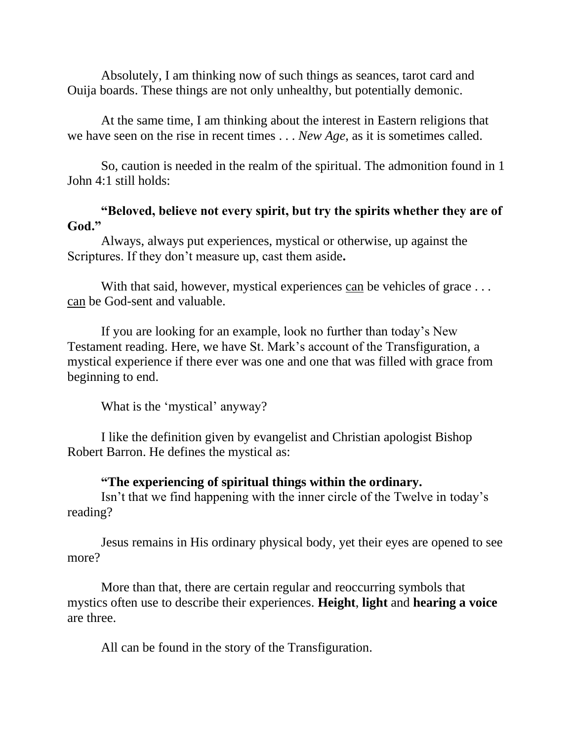Absolutely, I am thinking now of such things as seances, tarot card and Ouija boards. These things are not only unhealthy, but potentially demonic.

At the same time, I am thinking about the interest in Eastern religions that we have seen on the rise in recent times . . . *New Age*, as it is sometimes called.

So, caution is needed in the realm of the spiritual. The admonition found in 1 John 4:1 still holds:

## **"Beloved, believe not every spirit, but try the spirits whether they are of God."**

Always, always put experiences, mystical or otherwise, up against the Scriptures. If they don't measure up, cast them aside**.**

With that said, however, mystical experiences can be vehicles of grace ... can be God-sent and valuable.

If you are looking for an example, look no further than today's New Testament reading. Here, we have St. Mark's account of the Transfiguration, a mystical experience if there ever was one and one that was filled with grace from beginning to end.

What is the 'mystical' anyway?

I like the definition given by evangelist and Christian apologist Bishop Robert Barron. He defines the mystical as:

## **"The experiencing of spiritual things within the ordinary.**

Isn't that we find happening with the inner circle of the Twelve in today's reading?

Jesus remains in His ordinary physical body, yet their eyes are opened to see more?

More than that, there are certain regular and reoccurring symbols that mystics often use to describe their experiences. **Height**, **light** and **hearing a voice** are three.

All can be found in the story of the Transfiguration.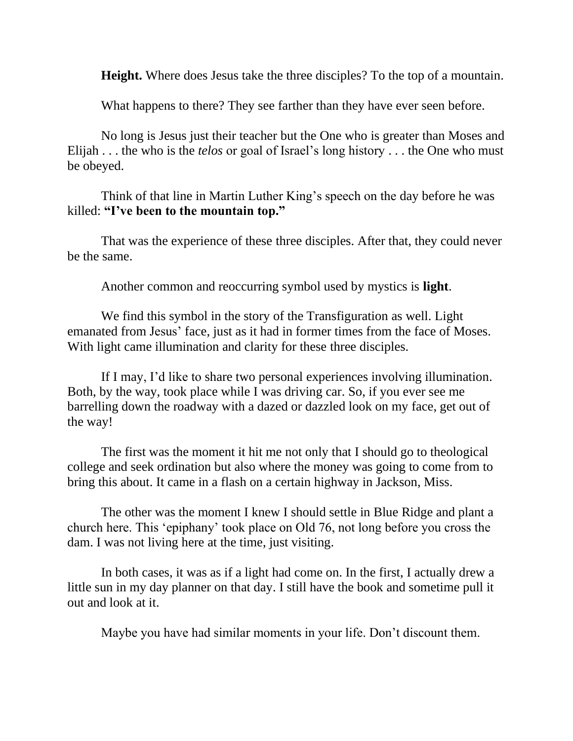**Height.** Where does Jesus take the three disciples? To the top of a mountain.

What happens to there? They see farther than they have ever seen before.

No long is Jesus just their teacher but the One who is greater than Moses and Elijah . . . the who is the *telos* or goal of Israel's long history . . . the One who must be obeyed.

Think of that line in Martin Luther King's speech on the day before he was killed: **"I've been to the mountain top."**

That was the experience of these three disciples. After that, they could never be the same.

Another common and reoccurring symbol used by mystics is **light**.

We find this symbol in the story of the Transfiguration as well. Light emanated from Jesus' face, just as it had in former times from the face of Moses. With light came illumination and clarity for these three disciples.

If I may, I'd like to share two personal experiences involving illumination. Both, by the way, took place while I was driving car. So, if you ever see me barrelling down the roadway with a dazed or dazzled look on my face, get out of the way!

The first was the moment it hit me not only that I should go to theological college and seek ordination but also where the money was going to come from to bring this about. It came in a flash on a certain highway in Jackson, Miss.

The other was the moment I knew I should settle in Blue Ridge and plant a church here. This 'epiphany' took place on Old 76, not long before you cross the dam. I was not living here at the time, just visiting.

In both cases, it was as if a light had come on. In the first, I actually drew a little sun in my day planner on that day. I still have the book and sometime pull it out and look at it.

Maybe you have had similar moments in your life. Don't discount them.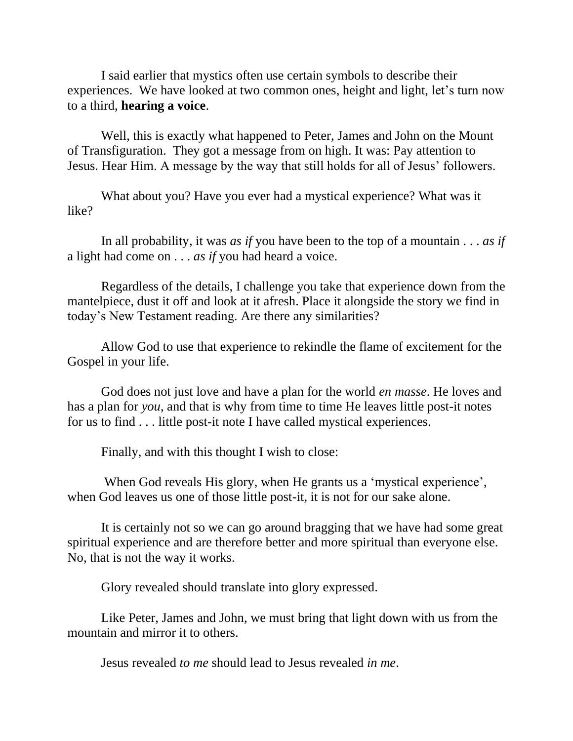I said earlier that mystics often use certain symbols to describe their experiences. We have looked at two common ones, height and light, let's turn now to a third, **hearing a voice**.

Well, this is exactly what happened to Peter, James and John on the Mount of Transfiguration. They got a message from on high. It was: Pay attention to Jesus. Hear Him. A message by the way that still holds for all of Jesus' followers.

What about you? Have you ever had a mystical experience? What was it like?

In all probability, it was *as if* you have been to the top of a mountain . . . *as if* a light had come on . . . *as if* you had heard a voice.

Regardless of the details, I challenge you take that experience down from the mantelpiece, dust it off and look at it afresh. Place it alongside the story we find in today's New Testament reading. Are there any similarities?

Allow God to use that experience to rekindle the flame of excitement for the Gospel in your life.

God does not just love and have a plan for the world *en masse*. He loves and has a plan for *you*, and that is why from time to time He leaves little post-it notes for us to find . . . little post-it note I have called mystical experiences.

Finally, and with this thought I wish to close:

When God reveals His glory, when He grants us a 'mystical experience', when God leaves us one of those little post-it, it is not for our sake alone.

It is certainly not so we can go around bragging that we have had some great spiritual experience and are therefore better and more spiritual than everyone else. No, that is not the way it works.

Glory revealed should translate into glory expressed.

Like Peter, James and John, we must bring that light down with us from the mountain and mirror it to others.

Jesus revealed *to me* should lead to Jesus revealed *in me*.